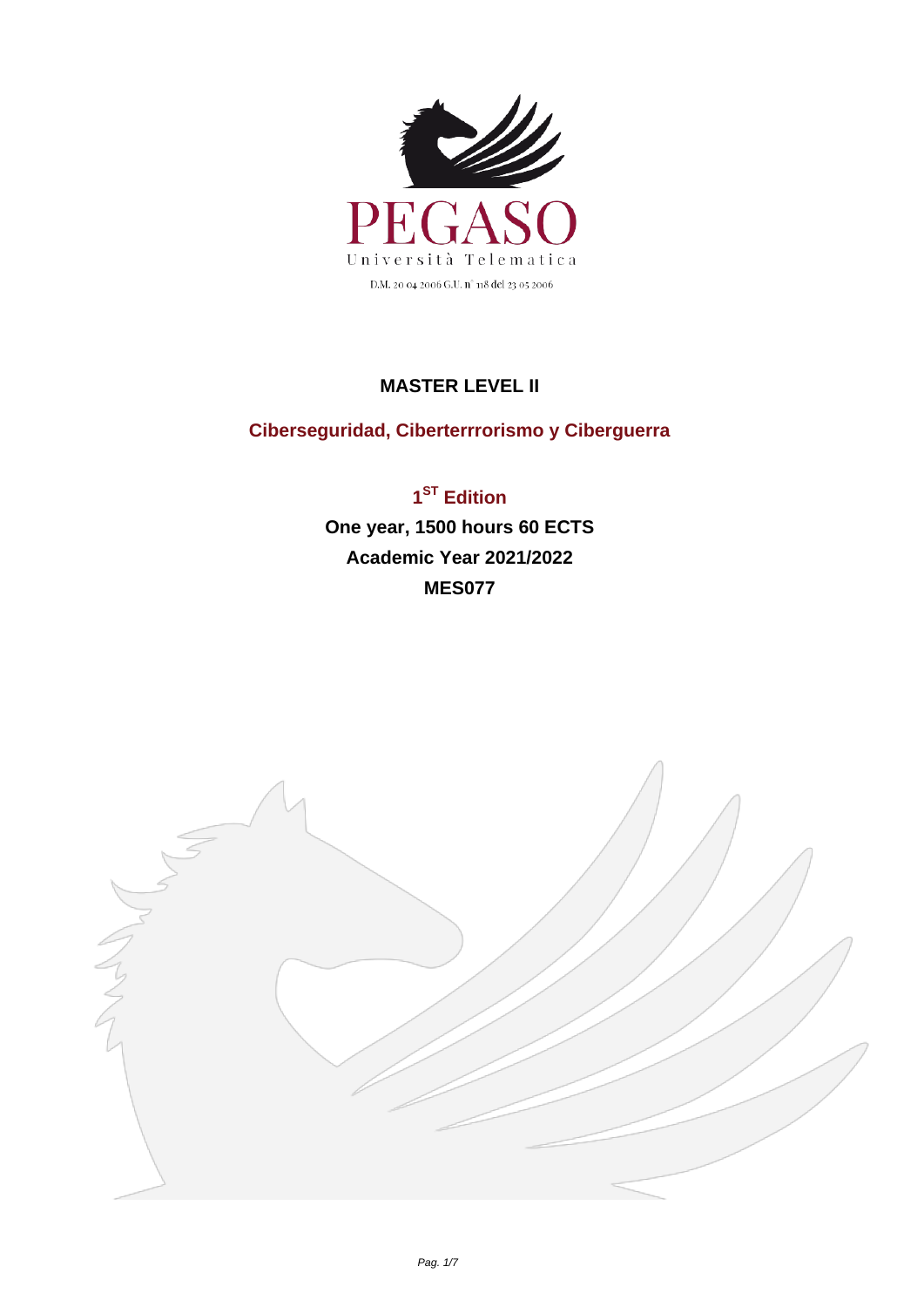

## **MASTER LEVEL II**

## **Ciberseguridad, Ciberterrrorismo y Ciberguerra**

**1 ST Edition One year, 1500 hours 60 ECTS Academic Year 2021/2022 MES077**

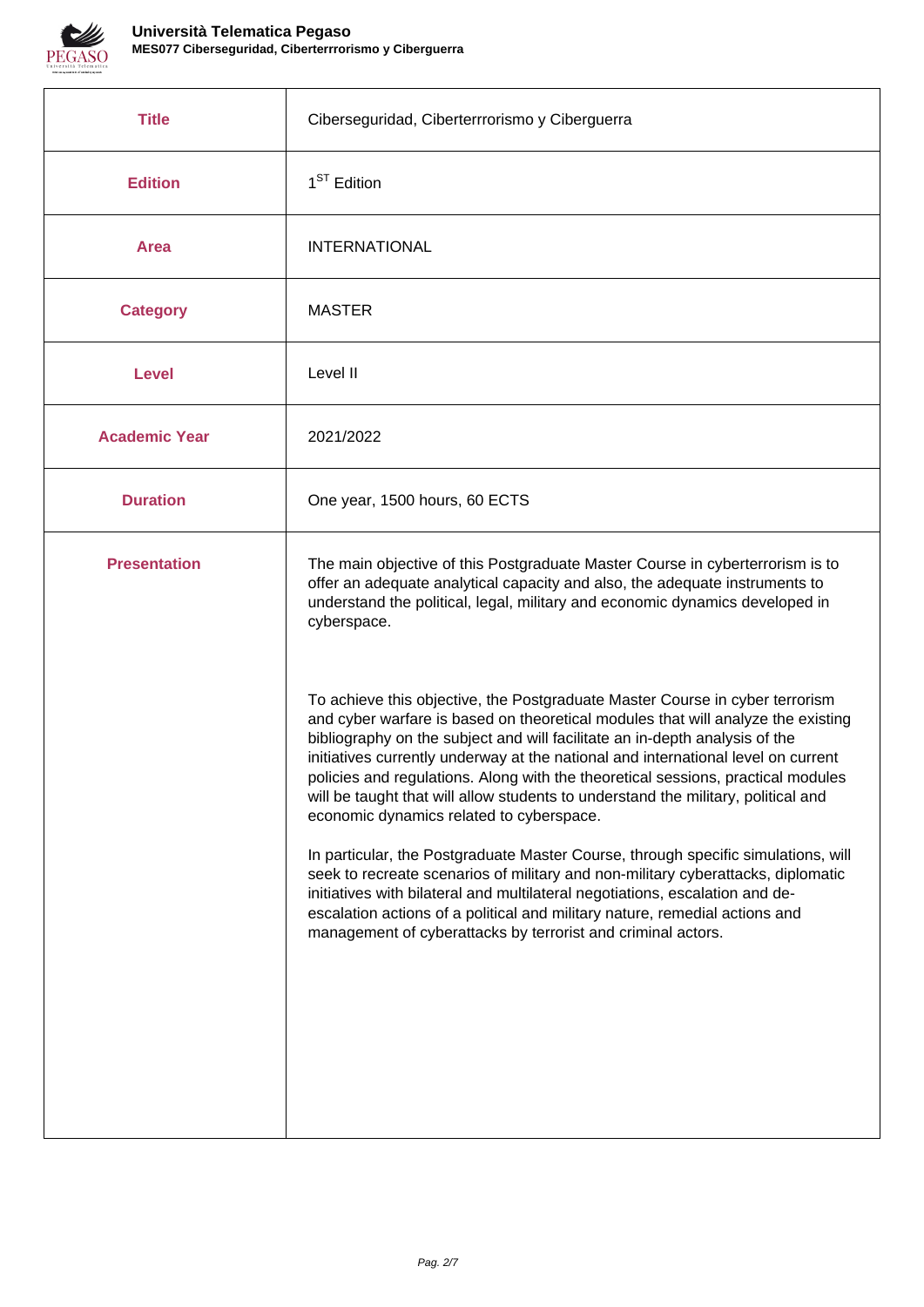

| <b>Title</b>         | Ciberseguridad, Ciberterrrorismo y Ciberguerra                                                                                                                                                                                                                                                                                                                                                                                                                            |
|----------------------|---------------------------------------------------------------------------------------------------------------------------------------------------------------------------------------------------------------------------------------------------------------------------------------------------------------------------------------------------------------------------------------------------------------------------------------------------------------------------|
| <b>Edition</b>       | 1 <sup>ST</sup> Edition                                                                                                                                                                                                                                                                                                                                                                                                                                                   |
| <b>Area</b>          | <b>INTERNATIONAL</b>                                                                                                                                                                                                                                                                                                                                                                                                                                                      |
| <b>Category</b>      | <b>MASTER</b>                                                                                                                                                                                                                                                                                                                                                                                                                                                             |
| <b>Level</b>         | Level II                                                                                                                                                                                                                                                                                                                                                                                                                                                                  |
| <b>Academic Year</b> | 2021/2022                                                                                                                                                                                                                                                                                                                                                                                                                                                                 |
| <b>Duration</b>      | One year, 1500 hours, 60 ECTS                                                                                                                                                                                                                                                                                                                                                                                                                                             |
| <b>Presentation</b>  | The main objective of this Postgraduate Master Course in cyberterrorism is to<br>offer an adequate analytical capacity and also, the adequate instruments to<br>understand the political, legal, military and economic dynamics developed in<br>cyberspace.<br>To achieve this objective, the Postgraduate Master Course in cyber terrorism                                                                                                                               |
|                      | and cyber warfare is based on theoretical modules that will analyze the existing<br>bibliography on the subject and will facilitate an in-depth analysis of the<br>initiatives currently underway at the national and international level on current<br>policies and regulations. Along with the theoretical sessions, practical modules<br>will be taught that will allow students to understand the military, political and<br>economic dynamics related to cyberspace. |
|                      | In particular, the Postgraduate Master Course, through specific simulations, will<br>seek to recreate scenarios of military and non-military cyberattacks, diplomatic<br>initiatives with bilateral and multilateral negotiations, escalation and de-<br>escalation actions of a political and military nature, remedial actions and<br>management of cyberattacks by terrorist and criminal actors.                                                                      |
|                      |                                                                                                                                                                                                                                                                                                                                                                                                                                                                           |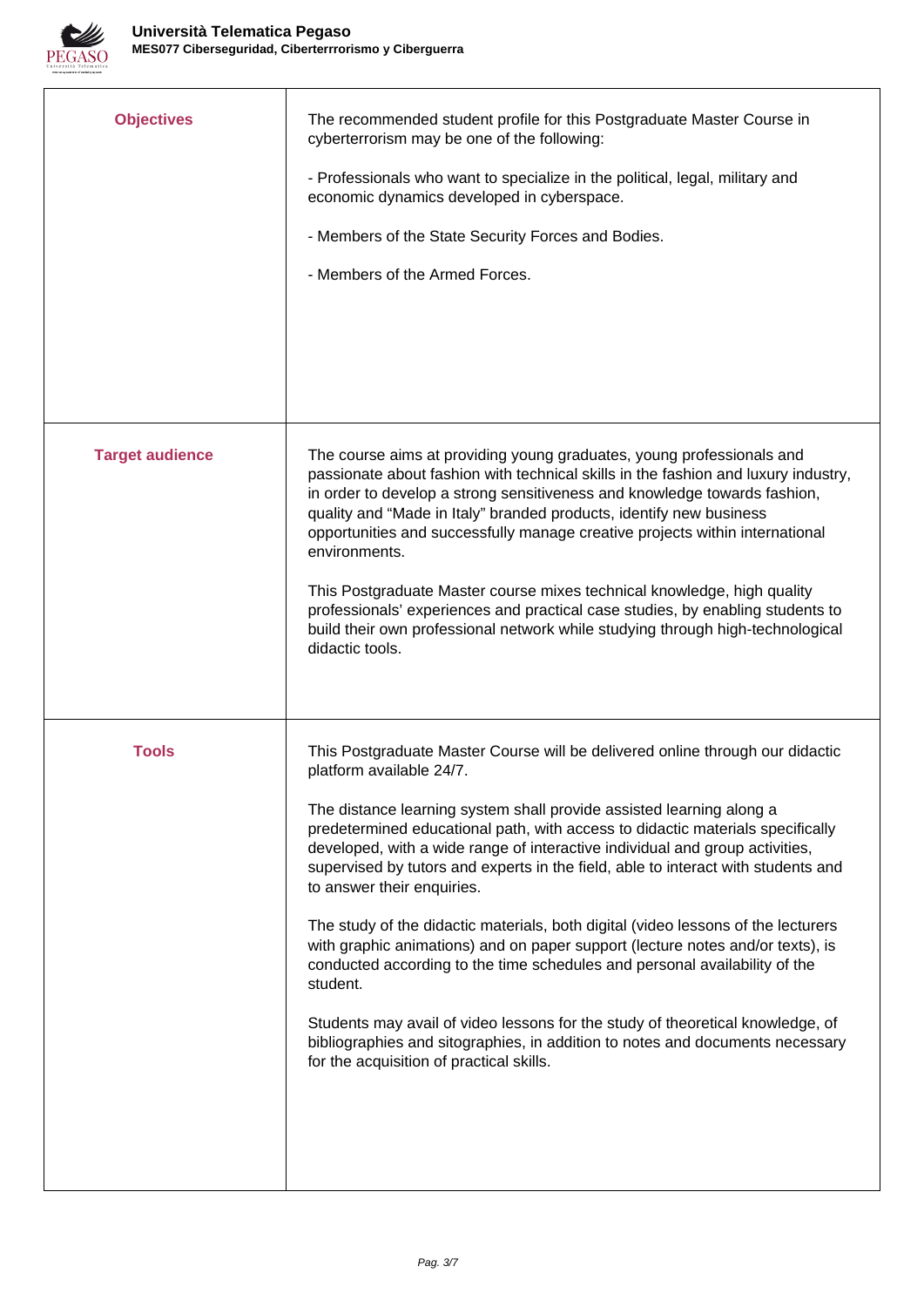

| <b>Objectives</b>      | The recommended student profile for this Postgraduate Master Course in<br>cyberterrorism may be one of the following:<br>- Professionals who want to specialize in the political, legal, military and<br>economic dynamics developed in cyberspace.<br>- Members of the State Security Forces and Bodies.<br>- Members of the Armed Forces.                                                                                                                                                                                                                                                                                                                                                                                                                                                                                                                                                                                                            |
|------------------------|--------------------------------------------------------------------------------------------------------------------------------------------------------------------------------------------------------------------------------------------------------------------------------------------------------------------------------------------------------------------------------------------------------------------------------------------------------------------------------------------------------------------------------------------------------------------------------------------------------------------------------------------------------------------------------------------------------------------------------------------------------------------------------------------------------------------------------------------------------------------------------------------------------------------------------------------------------|
| <b>Target audience</b> | The course aims at providing young graduates, young professionals and<br>passionate about fashion with technical skills in the fashion and luxury industry,<br>in order to develop a strong sensitiveness and knowledge towards fashion,<br>quality and "Made in Italy" branded products, identify new business<br>opportunities and successfully manage creative projects within international<br>environments.<br>This Postgraduate Master course mixes technical knowledge, high quality<br>professionals' experiences and practical case studies, by enabling students to<br>build their own professional network while studying through high-technological<br>didactic tools.                                                                                                                                                                                                                                                                     |
| <b>Tools</b>           | This Postgraduate Master Course will be delivered online through our didactic<br>platform available 24/7.<br>The distance learning system shall provide assisted learning along a<br>predetermined educational path, with access to didactic materials specifically<br>developed, with a wide range of interactive individual and group activities,<br>supervised by tutors and experts in the field, able to interact with students and<br>to answer their enquiries.<br>The study of the didactic materials, both digital (video lessons of the lecturers<br>with graphic animations) and on paper support (lecture notes and/or texts), is<br>conducted according to the time schedules and personal availability of the<br>student.<br>Students may avail of video lessons for the study of theoretical knowledge, of<br>bibliographies and sitographies, in addition to notes and documents necessary<br>for the acquisition of practical skills. |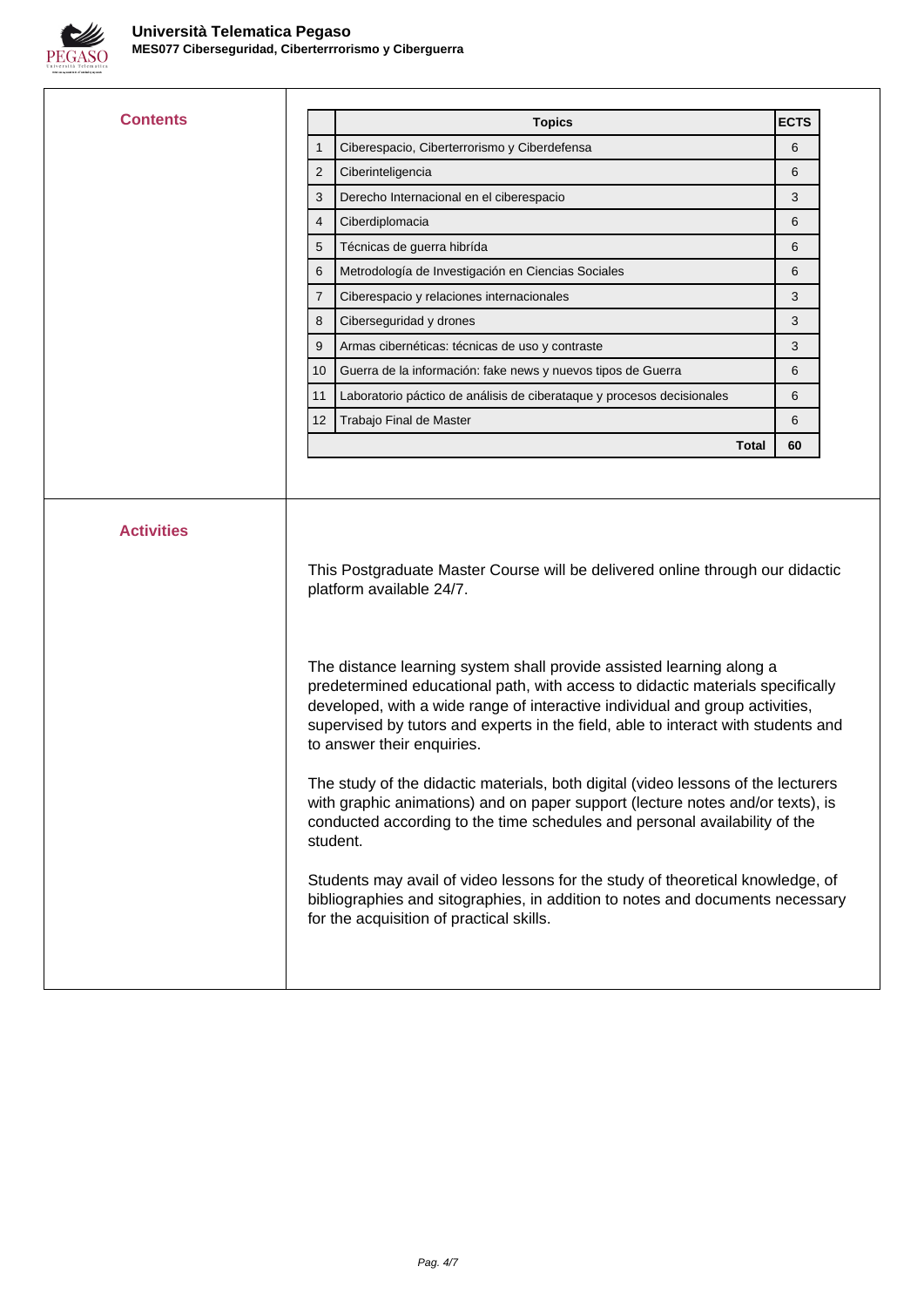

| <b>Contents</b>   | <b>Topics</b>                                                                                                                                                                                                                          | <b>ECTS</b> |
|-------------------|----------------------------------------------------------------------------------------------------------------------------------------------------------------------------------------------------------------------------------------|-------------|
|                   | Ciberespacio, Ciberterrorismo y Ciberdefensa<br>1                                                                                                                                                                                      | 6           |
|                   | Ciberinteligencia<br>2                                                                                                                                                                                                                 | 6           |
|                   | Derecho Internacional en el ciberespacio<br>3                                                                                                                                                                                          | 3           |
|                   | Ciberdiplomacia<br>4                                                                                                                                                                                                                   | 6           |
|                   | Técnicas de guerra hibrída<br>5                                                                                                                                                                                                        | 6           |
|                   | Metrodología de Investigación en Ciencias Sociales<br>6                                                                                                                                                                                | 6           |
|                   | 7<br>Ciberespacio y relaciones internacionales                                                                                                                                                                                         | 3           |
|                   | Ciberseguridad y drones<br>8                                                                                                                                                                                                           | 3           |
|                   | Armas cibernéticas: técnicas de uso y contraste<br>9                                                                                                                                                                                   | 3           |
|                   | Guerra de la información: fake news y nuevos tipos de Guerra<br>10                                                                                                                                                                     | 6           |
|                   | Laboratorio páctico de análisis de ciberataque y procesos decisionales<br>11                                                                                                                                                           | 6           |
|                   | Trabajo Final de Master<br>12                                                                                                                                                                                                          | 6           |
|                   |                                                                                                                                                                                                                                        |             |
| <b>Activities</b> | Total                                                                                                                                                                                                                                  | 60          |
|                   | This Postgraduate Master Course will be delivered online through our didactic<br>platform available 24/7.                                                                                                                              |             |
|                   | The distance learning system shall provide assisted learning along a<br>predetermined educational path, with access to didactic materials specifically<br>developed, with a wide range of interactive individual and group activities, |             |
|                   | supervised by tutors and experts in the field, able to interact with students and<br>to answer their enquiries.                                                                                                                        |             |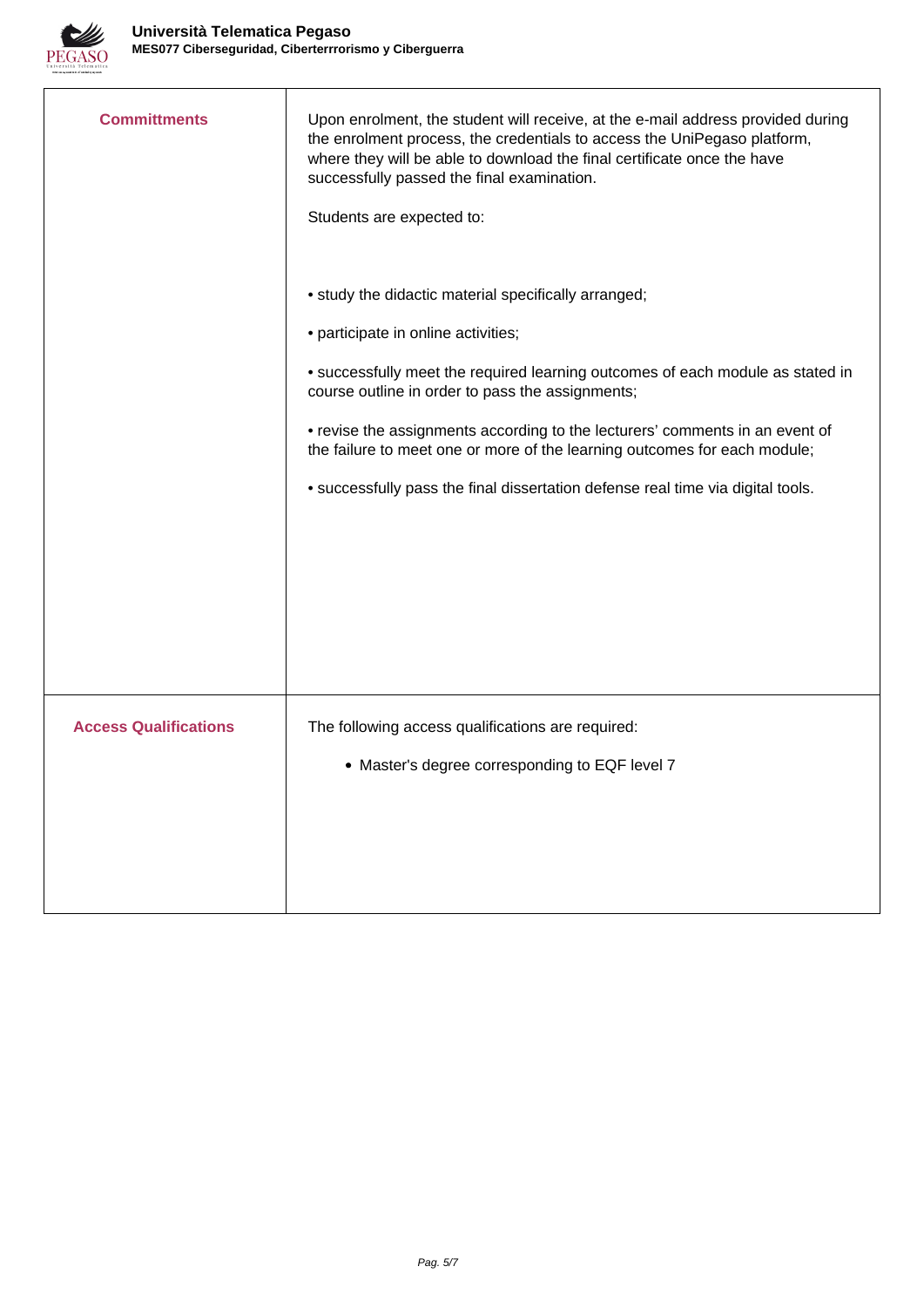

| <b>Committments</b>          | Upon enrolment, the student will receive, at the e-mail address provided during<br>the enrolment process, the credentials to access the UniPegaso platform,<br>where they will be able to download the final certificate once the have<br>successfully passed the final examination.<br>Students are expected to: |
|------------------------------|-------------------------------------------------------------------------------------------------------------------------------------------------------------------------------------------------------------------------------------------------------------------------------------------------------------------|
|                              | • study the didactic material specifically arranged;<br>• participate in online activities;                                                                                                                                                                                                                       |
|                              | • successfully meet the required learning outcomes of each module as stated in<br>course outline in order to pass the assignments;                                                                                                                                                                                |
|                              | • revise the assignments according to the lecturers' comments in an event of<br>the failure to meet one or more of the learning outcomes for each module;                                                                                                                                                         |
|                              | • successfully pass the final dissertation defense real time via digital tools.                                                                                                                                                                                                                                   |
|                              |                                                                                                                                                                                                                                                                                                                   |
|                              |                                                                                                                                                                                                                                                                                                                   |
|                              |                                                                                                                                                                                                                                                                                                                   |
| <b>Access Qualifications</b> | The following access qualifications are required:                                                                                                                                                                                                                                                                 |
|                              | • Master's degree corresponding to EQF level 7                                                                                                                                                                                                                                                                    |
|                              |                                                                                                                                                                                                                                                                                                                   |
|                              |                                                                                                                                                                                                                                                                                                                   |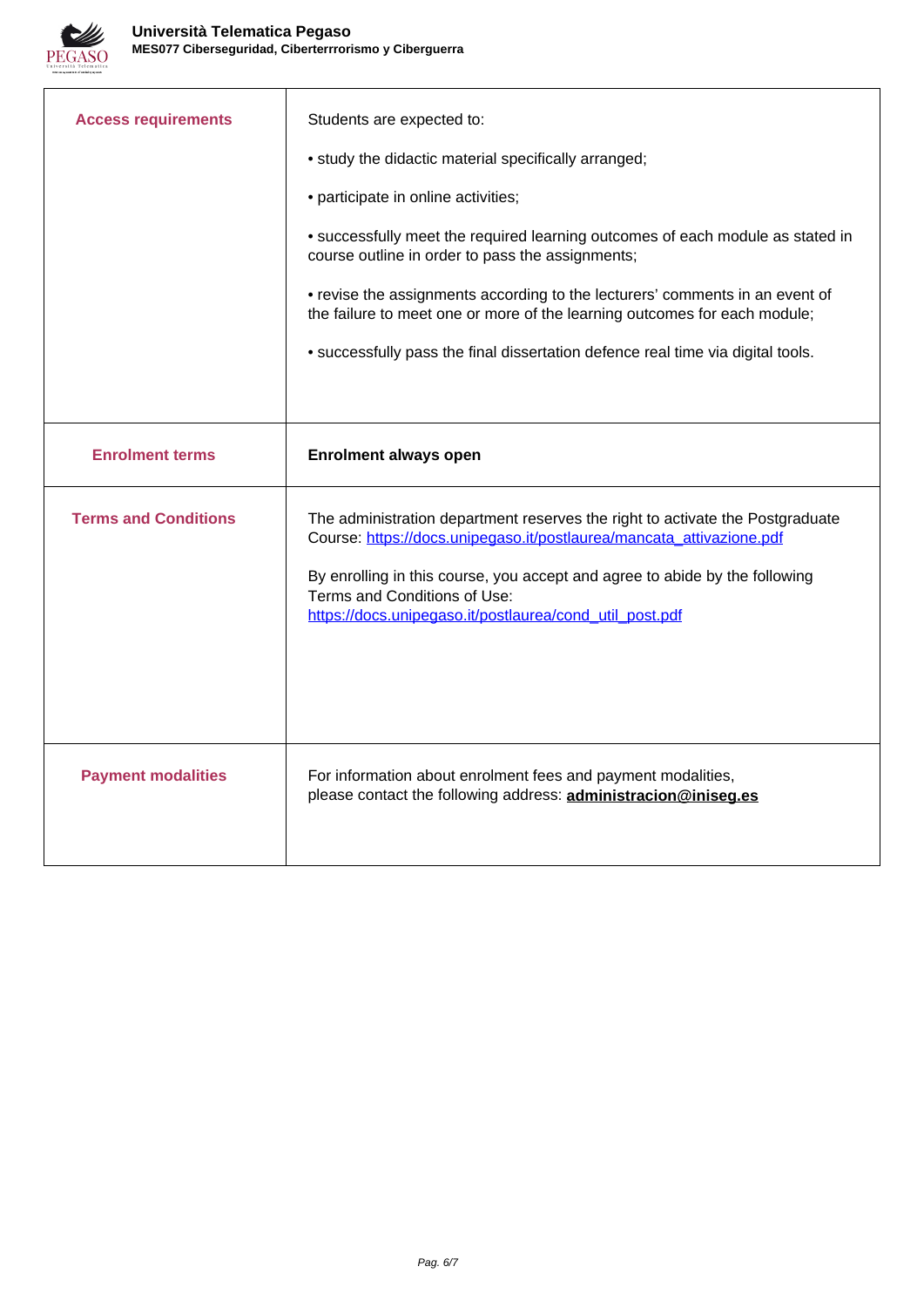

| <b>Access requirements</b>  | Students are expected to:<br>• study the didactic material specifically arranged;<br>• participate in online activities;<br>• successfully meet the required learning outcomes of each module as stated in<br>course outline in order to pass the assignments;<br>• revise the assignments according to the lecturers' comments in an event of<br>the failure to meet one or more of the learning outcomes for each module;<br>• successfully pass the final dissertation defence real time via digital tools. |
|-----------------------------|----------------------------------------------------------------------------------------------------------------------------------------------------------------------------------------------------------------------------------------------------------------------------------------------------------------------------------------------------------------------------------------------------------------------------------------------------------------------------------------------------------------|
| <b>Enrolment terms</b>      | <b>Enrolment always open</b>                                                                                                                                                                                                                                                                                                                                                                                                                                                                                   |
| <b>Terms and Conditions</b> | The administration department reserves the right to activate the Postgraduate<br>Course: https://docs.unipegaso.it/postlaurea/mancata_attivazione.pdf<br>By enrolling in this course, you accept and agree to abide by the following<br>Terms and Conditions of Use:<br>https://docs.unipegaso.it/postlaurea/cond_util_post.pdf                                                                                                                                                                                |
| <b>Payment modalities</b>   | For information about enrolment fees and payment modalities,<br>please contact the following address: administracion@iniseg.es                                                                                                                                                                                                                                                                                                                                                                                 |